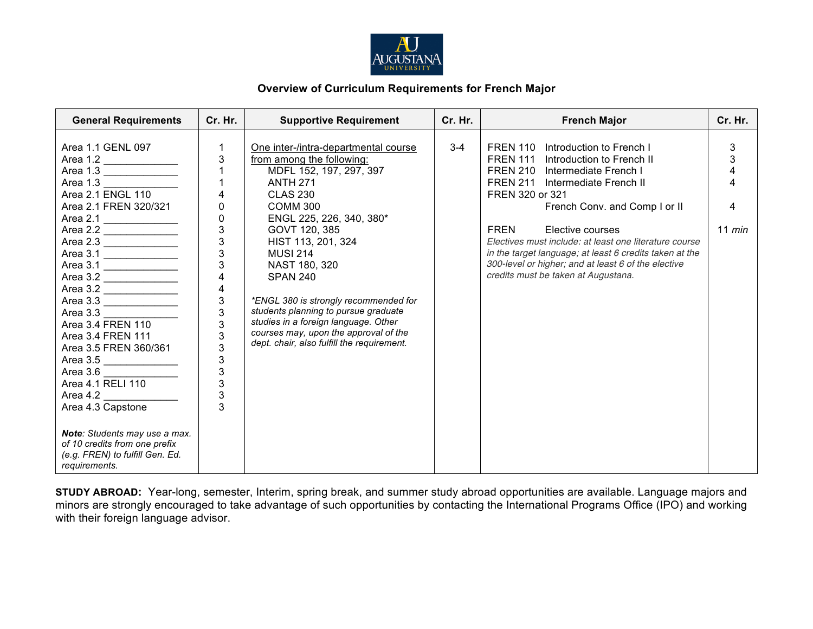

## **Overview of Curriculum Requirements for French Major**

| <b>General Requirements</b>                                                                                                                                                                                                                                                                                                                                                                                        | Cr. Hr.                                                                                                                                                                                                            | <b>Supportive Requirement</b>                                                                                                                                                                                                                                                                                                                                                                                                                                                                   | Cr. Hr. | <b>French Major</b>                                                                                                                                                                                                                                                                                                                                                                                                                                                        | Cr. Hr.                      |
|--------------------------------------------------------------------------------------------------------------------------------------------------------------------------------------------------------------------------------------------------------------------------------------------------------------------------------------------------------------------------------------------------------------------|--------------------------------------------------------------------------------------------------------------------------------------------------------------------------------------------------------------------|-------------------------------------------------------------------------------------------------------------------------------------------------------------------------------------------------------------------------------------------------------------------------------------------------------------------------------------------------------------------------------------------------------------------------------------------------------------------------------------------------|---------|----------------------------------------------------------------------------------------------------------------------------------------------------------------------------------------------------------------------------------------------------------------------------------------------------------------------------------------------------------------------------------------------------------------------------------------------------------------------------|------------------------------|
| Area 1.1 GENL 097<br>Area 1.2<br>Area 1.3<br>Area 1.3<br>Area 2.1 ENGL 110<br>Area 2.1 FREN 320/321<br>Area 2.1<br>Area 2.2<br>Area 2.3<br>Area 3.1<br>Area 3.1<br>Area 3.2<br>Area 3.2 ______________<br>Area 3.3<br>Area 3.3<br>Area 3.4 FREN 110<br>Area 3.4 FREN 111<br>Area 3.5 FREN 360/361<br>Area 3.5<br>Area $3.6$<br>Area 4.1 RELI 110<br>Area 4.2<br>Area 4.3 Capstone<br>Note: Students may use a max. | 1<br>$\mathbf{3}$<br>$\overline{1}$<br>$\overline{\mathbf{4}}$<br>$\Omega$<br>0<br>3<br>3<br>3<br>3<br>4<br>$\begin{array}{c} 4 \\ 3 \\ 3 \end{array}$<br>3<br>3<br>3<br>$\frac{3}{3}$<br>3<br>$\overline{3}$<br>3 | One inter-/intra-departmental course<br>from among the following:<br>MDFL 152, 197, 297, 397<br><b>ANTH 271</b><br><b>CLAS 230</b><br><b>COMM 300</b><br>ENGL 225, 226, 340, 380*<br>GOVT 120, 385<br>HIST 113, 201, 324<br><b>MUSI 214</b><br>NAST 180, 320<br><b>SPAN 240</b><br>*ENGL 380 is strongly recommended for<br>students planning to pursue graduate<br>studies in a foreign language. Other<br>courses may, upon the approval of the<br>dept. chair, also fulfill the requirement. | $3 - 4$ | <b>FREN 110</b><br>Introduction to French I<br><b>FREN 111</b><br>Introduction to French II<br>FREN 210 Intermediate French I<br>FREN 211 Intermediate French II<br>FREN 320 or 321<br>French Conv. and Comp I or II<br><b>FREN</b><br>Elective courses<br>Electives must include: at least one literature course<br>in the target language; at least 6 credits taken at the<br>300-level or higher; and at least 6 of the elective<br>credits must be taken at Augustana. | 3<br>3<br>4<br>4<br>$11$ min |
| of 10 credits from one prefix<br>(e.g. FREN) to fulfill Gen. Ed.<br>requirements.                                                                                                                                                                                                                                                                                                                                  |                                                                                                                                                                                                                    |                                                                                                                                                                                                                                                                                                                                                                                                                                                                                                 |         |                                                                                                                                                                                                                                                                                                                                                                                                                                                                            |                              |

**STUDY ABROAD:** Year-long, semester, Interim, spring break, and summer study abroad opportunities are available. Language majors and minors are strongly encouraged to take advantage of such opportunities by contacting the International Programs Office (IPO) and working with their foreign language advisor.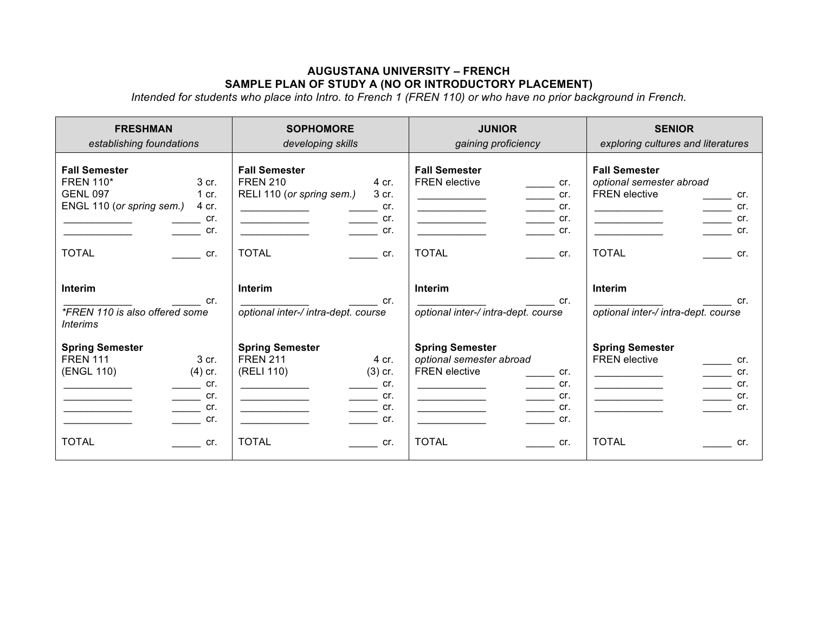## **AUGUSTANA UNIVERSITY – FRENCH SAMPLE PLAN OF STUDY A (NO OR INTRODUCTORY PLACEMENT)**

*Intended for students who place into Intro. to French 1 (FREN 110) or who have no prior background in French.*

| <b>FRESHMAN</b><br>establishing foundations                                                                                                                                                    | <b>SOPHOMORE</b><br>developing skills                                                                                                                                                     | <b>JUNIOR</b><br>gaining proficiency                                                                                                                                                                                                                                                            | <b>SENIOR</b><br>exploring cultures and literatures                                                                                                                                                                                                                                                                                                  |
|------------------------------------------------------------------------------------------------------------------------------------------------------------------------------------------------|-------------------------------------------------------------------------------------------------------------------------------------------------------------------------------------------|-------------------------------------------------------------------------------------------------------------------------------------------------------------------------------------------------------------------------------------------------------------------------------------------------|------------------------------------------------------------------------------------------------------------------------------------------------------------------------------------------------------------------------------------------------------------------------------------------------------------------------------------------------------|
| <b>Fall Semester</b><br><b>FREN 110*</b><br>3 cr.<br><b>GENL 097</b><br>1 cr.<br>ENGL 110 (or spring sem.)<br>4 cr.<br><b>Cr.</b><br>$\mathsf{cr}$ .<br><b>TOTAL</b><br>$\mathsf{cr}$ .        | <b>Fall Semester</b><br><b>FREN 210</b><br>4 cr.<br>RELI 110 (or spring sem.)<br>3 cr.<br>cr.<br>$\rule{1em}{0.15mm}$ cr.<br>$\boxed{\phantom{1}}$ cr.<br><b>TOTAL</b><br>$\mathsf{cr}$ . | <b>Fall Semester</b><br><b>FREN</b> elective<br>$\frac{1}{\sqrt{1-\frac{1}{2}}}\text{cr.}$<br>$\rule{1em}{0.15mm}$ cr.<br>$\frac{1}{\sqrt{1-\frac{1}{2}}}\text{cr.}$<br><u> 1989 - Johann Barnett, fransk politiker (</u><br>$\frac{cr}{cr}$ cr.<br><b>TOTAL</b><br>$\overline{\mathbf{C}}$ cr. | <b>Fall Semester</b><br>optional semester abroad<br><b>FREN</b> elective<br>cr.<br>cr.<br>$\mathcal{L}(\mathcal{L})$<br>$\frac{1}{\sqrt{1-\frac{1}{c}}}$ cr.<br><u> Alexandria de la conte</u><br><b>TOTAL</b><br>cr.                                                                                                                                |
| <b>Interim</b><br>cr.<br><i><b>*FREN 110 is also offered some</b></i><br><i>Interims</i>                                                                                                       | Interim<br>cr.<br>optional inter-/ intra-dept. course                                                                                                                                     | Interim<br>cr.<br>optional inter-/ intra-dept. course                                                                                                                                                                                                                                           | Interim<br>cr.<br>optional inter-/ intra-dept. course                                                                                                                                                                                                                                                                                                |
| <b>Spring Semester</b><br><b>FREN 111</b><br>3 cr.<br>(ENGL 110)<br>$(4)$ cr.<br>$\rule{1em}{0.15mm}$ cr.<br>$\frac{1}{\sqrt{1-\frac{1}{2}}}\text{cr.}$<br>$\overline{\phantom{a}}$ cr.<br>cr. | <b>Spring Semester</b><br><b>FREN 211</b><br>4 cr.<br>(RELI 110)<br>$(3)$ cr.<br>$\equiv$ cr.<br>$\overline{\phantom{a}}$ cr.<br>$\frac{1}{\sqrt{1-\frac{1}{2}}}\text{cr.}$<br>cr.        | <b>Spring Semester</b><br>optional semester abroad<br><b>FREN</b> elective<br>cr.<br>$\frac{1}{\sqrt{1-\frac{1}{2}}}\text{cr.}$<br>$\frac{1}{\sqrt{1-\frac{1}{2}}}\text{cr.}$<br>$\frac{1}{\sqrt{1-\frac{1}{2}}}\text{cr.}$<br><u> Alexandria de la conte</u><br>cr.                            | <b>Spring Semester</b><br><b>FREN</b> elective<br>cr.<br>$\begin{array}{c}\n\hline\n\end{array}\n\qquad \text{or.}\n\begin{array}{c}\n\hline\n\end{array}\n\text{or.}$<br><u> 1989 - Johann Barn, mars and de Branch Barn, mars and de Branch Barn, mars and de Branch Barn, mars and de Br</u><br><u> Alexandria de la conte</u><br>$\mathsf{cr}$ . |
| <b>TOTAL</b><br>$\frac{1}{\sqrt{1-\frac{1}{2}}}\text{cr.}$                                                                                                                                     | <b>TOTAL</b><br>cr.                                                                                                                                                                       | <b>TOTAL</b><br>$\overline{\phantom{a}}$ cr.                                                                                                                                                                                                                                                    | <b>TOTAL</b><br>cr.                                                                                                                                                                                                                                                                                                                                  |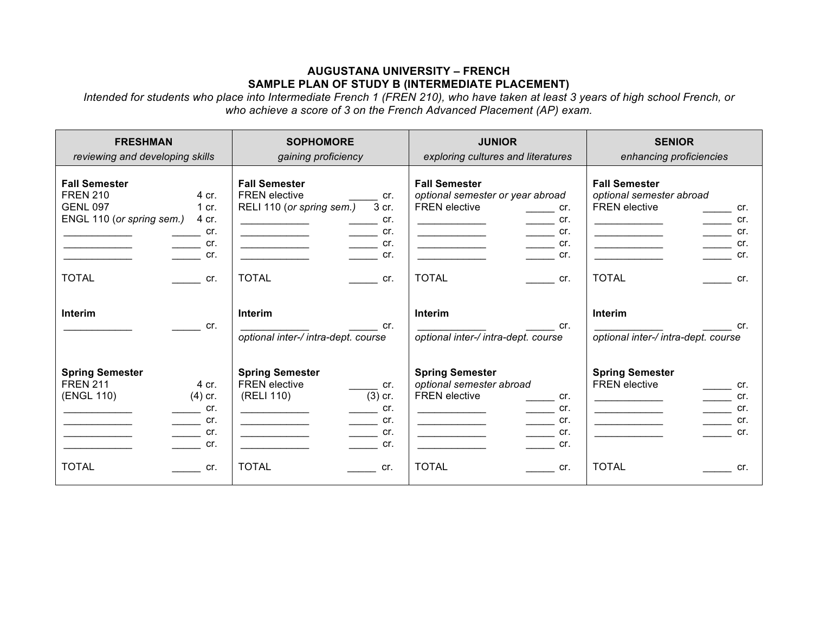## **AUGUSTANA UNIVERSITY – FRENCH SAMPLE PLAN OF STUDY B (INTERMEDIATE PLACEMENT)**

*Intended for students who place into Intermediate French 1 (FREN 210), who have taken at least 3 years of high school French, or who achieve a score of 3 on the French Advanced Placement (AP) exam.*

| <b>FRESHMAN</b><br>reviewing and developing skills                                                                                                                                                                                                                   | <b>SOPHOMORE</b><br>gaining proficiency                                                                                                                                                                                                                                                                                                                                 | <b>JUNIOR</b><br>exploring cultures and literatures                                                                                                                                                                                                                                                          | <b>SENIOR</b><br>enhancing proficiencies                                                                                                                                                                                                                                                                                                                                      |
|----------------------------------------------------------------------------------------------------------------------------------------------------------------------------------------------------------------------------------------------------------------------|-------------------------------------------------------------------------------------------------------------------------------------------------------------------------------------------------------------------------------------------------------------------------------------------------------------------------------------------------------------------------|--------------------------------------------------------------------------------------------------------------------------------------------------------------------------------------------------------------------------------------------------------------------------------------------------------------|-------------------------------------------------------------------------------------------------------------------------------------------------------------------------------------------------------------------------------------------------------------------------------------------------------------------------------------------------------------------------------|
| <b>Fall Semester</b><br><b>FREN 210</b><br>4 cr.<br><b>GENL 097</b><br>1 cr.<br>ENGL 110 (or spring sem.)<br>4 cr.<br>$\equiv$ cr.<br>$\frac{1}{\sqrt{1-\frac{1}{2}}}\text{cr.}$<br>$\mathsf{cr}$ .<br><b>TOTAL</b><br>$\mathsf{cr}$ .<br>Interim<br>$\mathsf{cr}$ . | <b>Fall Semester</b><br><b>FREN</b> elective<br>cr.<br>3 cr.<br>RELI 110 (or spring sem.)<br>cr.<br>$\rule{1em}{0.15mm}$ cr.<br><u> 1989 - Johann Barbara, martin a</u><br>$\frac{1}{2}$<br>cr.<br><b>Cr.</b><br><b>TOTAL</b><br>$\mathsf{cr}$ .<br>Interim<br>cr.<br>optional inter-/ intra-dept. course                                                               | <b>Fall Semester</b><br>optional semester or year abroad<br><b>FREN</b> elective<br><b>Cr.</b><br>cr.<br>$\overline{\phantom{a}}$<br>$\frac{c}{\sqrt{c}}$ cr.<br>$\mathsf{cr}$ .<br><b>TOTAL</b><br>$\mathsf{cr}$ .<br>Interim<br>cr.<br>optional inter-/ intra-dept. course                                 | <b>Fall Semester</b><br>optional semester abroad<br><b>FREN</b> elective<br>cr.<br>cr.<br>$\mathcal{L}^{\text{max}}$<br>$\frac{1}{\sqrt{1-\frac{1}{2}}}\left( \frac{1}{\sqrt{1-\frac{1}{2}}}\right) ^{2}$<br>cr.<br><u>experience</u> and the state of the state of<br>cr.<br>cr.<br><b>TOTAL</b><br>$\mathsf{cr}$ .<br>Interim<br>cr.<br>optional inter-/ intra-dept. course |
| <b>Spring Semester</b><br><b>FREN 211</b><br>4 cr.<br>(ENGL 110)<br>$(4)$ cr.<br>$\rule{1em}{0.15mm}$ cr.<br>$\overline{\phantom{a}}$ cr.<br>$\overline{\phantom{a}}$ cr.<br>cr.<br><b>TOTAL</b><br>$\overline{\phantom{a}}$ or.                                     | <b>Spring Semester</b><br><b>FREN</b> elective<br>cr.<br>$(3)$ cr.<br>(RELI 110)<br>cr.<br>$\frac{1}{\sqrt{1-\frac{1}{2}}}\text{cr.}$<br><u> 1999 - Johann Barn, mars and de Branch Barn, mars and de Branch Barn, mars and de Branch Barn, mars and de Br</u><br>$\overline{\phantom{a}}$ cr.<br><u> 1989 - Johann Barbara, martin a</u><br>cr.<br><b>TOTAL</b><br>cr. | <b>Spring Semester</b><br>optional semester abroad<br><b>FREN</b> elective<br>cr.<br>$\rule{1em}{0.15mm}$ cr.<br>$\overline{\phantom{a}}$ cr.<br><u>experience</u> and the contract of the<br>$\overline{\phantom{a}}$ cr.<br><u> 1989 - Johann Barbara, martx</u><br>cr.<br><b>TOTAL</b><br>$\mathsf{cr}$ . | <b>Spring Semester</b><br><b>FREN</b> elective<br>cr.<br>$\frac{1}{\sqrt{1-\frac{1}{2}}}\text{cr.}$<br>$\frac{cr}{\sqrt{cr}}$ cr.<br><u> 1980 - John Harry Harry Harry Harry Harry Harry Harry Harry Harry Harry Harry Harry Harry Harry Harry Harry H</u><br><u> Listen de la componenta</u><br>cr.<br><b>TOTAL</b><br>cr.                                                   |